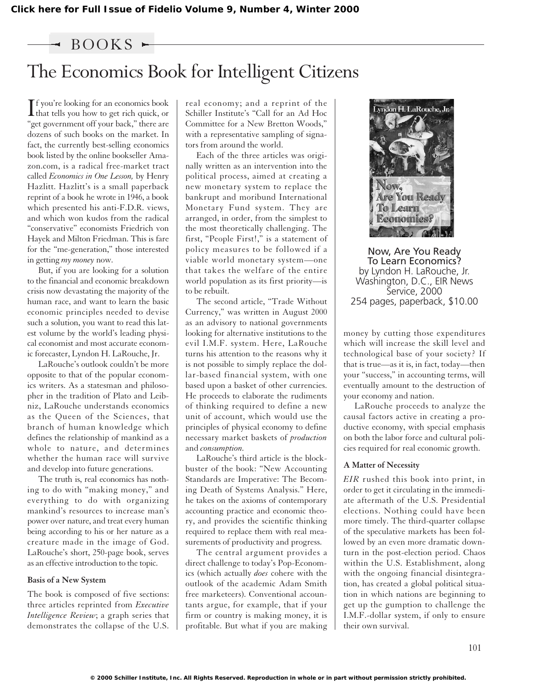## $-$  BOOKS  $-$

# The Economics Book for Intelligent Citizens

 $\prod_{\text{that tells you how to get rich quick, or}}$ **T** f you're looking for an economics book "get government off your back," there are dozens of such books on the market. In fact, the currently best-selling economics book listed by the online bookseller Amazon.com, is a radical free-market tract called *Economics in One Lesson,* by Henry Hazlitt. Hazlitt's is a small paperback reprint of a book he wrote in 1946, a book which presented his anti-F.D.R. views, and which won kudos from the radical "conservative" economists Friedrich von Hayek and Milton Friedman. This is fare for the "me-generation," those interested in getting *my money* now.

But, if you are looking for a solution to the financial and economic breakdown crisis now devastating the majority of the human race, and want to learn the basic economic principles needed to devise such a solution, you want to read this latest volume by the world's leading physical economist and most accurate economic forecaster, Lyndon H. LaRouche, Jr.

LaRouche's outlook couldn't be more opposite to that of the popular economics writers. As a statesman and philosopher in the tradition of Plato and Leibniz, LaRouche understands economics as the Queen of the Sciences, that branch of human knowledge which defines the relationship of mankind as a whole to nature, and determines whether the human race will survive and develop into future generations.

The truth is, real economics has nothing to do with "making money," and everything to do with organizing mankind's resources to increase man's power over nature, and treat every human being according to his or her nature as a creature made in the image of God. LaRouche's short, 250-page book, serves as an effective introduction to the topic.

#### **Basis of a New System**

The book is composed of five sections: three articles reprinted from *Executive Intelligence Review*; a graph series that demonstrates the collapse of the U.S. real economy; and a reprint of the Schiller Institute's "Call for an Ad Hoc Committee for a New Bretton Woods," with a representative sampling of signators from around the world.

Each of the three articles was originally written as an intervention into the political process, aimed at creating a new monetary system to replace the bankrupt and moribund International Monetary Fund system. They are arranged, in order, from the simplest to the most theoretically challenging. The first, "People First!," is a statement of policy measures to be followed if a viable world monetary system—one that takes the welfare of the entire world population as its first priority—is to be rebuilt.

The second article, "Trade Without Currency," was written in August 2000 as an advisory to national governments looking for alternative institutions to the evil I.M.F. system. Here, LaRouche turns his attention to the reasons why it is not possible to simply replace the dollar-based financial system, with one based upon a basket of other currencies. He proceeds to elaborate the rudiments of thinking required to define a new unit of account, which would use the principles of physical economy to define necessary market baskets of *production* and *consumption.*

LaRouche's third article is the blockbuster of the book: "New Accounting Standards are Imperative: The Becoming Death of Systems Analysis." Here, he takes on the axioms of contemporary accounting practice and economic theory, and provides the scientific thinking required to replace them with real measurements of productivity and progress.

The central argument provides a direct challenge to today's Pop-Economics (which actually *does* cohere with the outlook of the academic Adam Smith free marketeers). Conventional accountants argue, for example, that if your firm or country is making money, it is profitable. But what if you are making



Now, Are You Ready To Learn Economics? by Lyndon H. LaRouche, Jr. Washington, D.C., EIR News Service, 2000 254 pages, paperback, \$10.00

money by cutting those expenditures which will increase the skill level and technological base of your society? If that is true—as it is, in fact, today—then your "success," in accounting terms, will eventually amount to the destruction of your economy and nation.

LaRouche proceeds to analyze the causal factors active in creating a productive economy, with special emphasis on both the labor force and cultural policies required for real economic growth.

### **A Matter of Necessity**

*EIR* rushed this book into print, in order to get it circulating in the immediate aftermath of the U.S. Presidential elections. Nothing could have been more timely. The third-quarter collapse of the speculative markets has been followed by an even more dramatic downturn in the post-election period. Chaos within the U.S. Establishment, along with the ongoing financial disintegration, has created a global political situation in which nations are beginning to get up the gumption to challenge the I.M.F.-dollar system, if only to ensure their own survival.